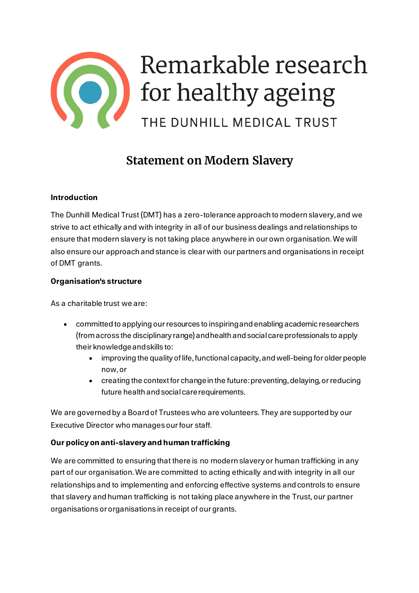

# **Statement on Modern Slavery**

## **Introduction**

The Dunhill Medical Trust (DMT) has a zero-tolerance approach to modern slavery,and we strive to act ethically and with integrity in all of our business dealings and relationships to ensure that modern slavery is not taking place anywhere in our own organisation. We will also ensure our approach and stance is clear with our partners and organisations in receipt of DMT grants.

## **Organisation's structure**

As a charitable trust we are:

- committed to applying our resources to inspiring and enabling academic researchers (from across the disciplinary range) and health and social care professionals to apply their knowledge and skills to:
	- improving the quality of life, functional capacity,and well-being for older people now, or
	- creating the context for change in the future: preventing, delaying, or reducing future health and social care requirements.

We are governed by a Board of Trustees who are volunteers. They are supported by our Executive Director who manages our four staff.

# **Our policy on anti-slavery and human trafficking**

We are committed to ensuring that there is no modern slavery or human trafficking in any part of our organisation.We are committed to acting ethically and with integrity in all our relationships and to implementing and enforcing effective systems and controls to ensure that slavery and human trafficking is not taking place anywhere in the Trust, our partner organisations or organisations in receipt of ourgrants.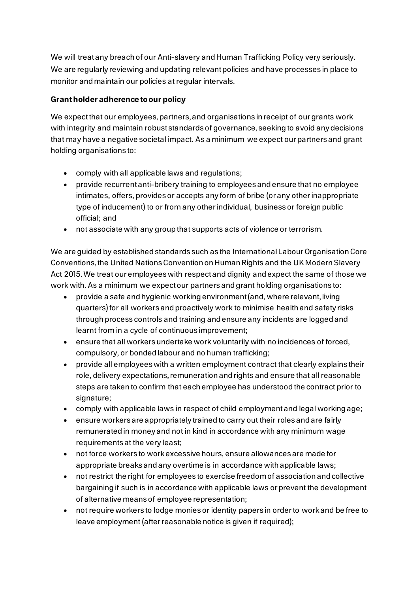We will treat any breach of our Anti-slavery and Human Trafficking Policy very seriously. We are regularly reviewing and updating relevant policies and have processes in place to monitor and maintain our policies at regular intervals.

# **Grant holder adherence to our policy**

We expectthat our employees, partners,and organisations in receipt of ourgrants work with integrity and maintain robust standards of governance, seeking to avoid any decisions that may have a negative societal impact. As a minimum we expect our partners and grant holding organisations to:

- comply with all applicable laws and regulations;
- provide recurrent anti-bribery training to employees and ensure that no employee intimates, offers, provides or accepts any form of bribe (or any other inappropriate type of inducement) to or from any other individual, business or foreign public official; and
- not associate with any group that supports acts of violence or terrorism.

We are guided by established standards such as the International Labour Organisation Core Conventions, the United Nations Convention on Human Rights and the UK Modern Slavery Act 2015. We treat our employees with respect and dignity and expect the same of those we work with. As a minimum we expect our partners and grant holding organisations to:

- provide a safe and hygienic working environment (and, where relevant, living quarters) for all workers and proactively work to minimise health and safety risks through process controls and training and ensure any incidents are logged and learnt from in a cycle of continuous improvement;
- ensure that all workers undertake work voluntarily with no incidences of forced, compulsory, or bonded labour and no human trafficking;
- provide all employees with a written employment contract that clearly explains their role, delivery expectations, remuneration and rights and ensure that all reasonable steps are taken to confirm that each employee has understood the contract prior to signature;
- comply with applicable laws in respect of child employment and legal working age;
- ensure workers are appropriately trained to carry out their roles and are fairly remunerated in money and not in kind in accordance with any minimum wage requirements at the very least;
- not force workers to work excessive hours, ensure allowances are made for appropriate breaks and any overtime is in accordance with applicable laws;
- not restrict the right for employees to exercise freedom of association and collective bargaining if such is in accordance with applicable laws or prevent the development of alternative means of employee representation;
- not require workers to lodge monies or identity papers in order to work and be free to leave employment (after reasonable notice is given if required);